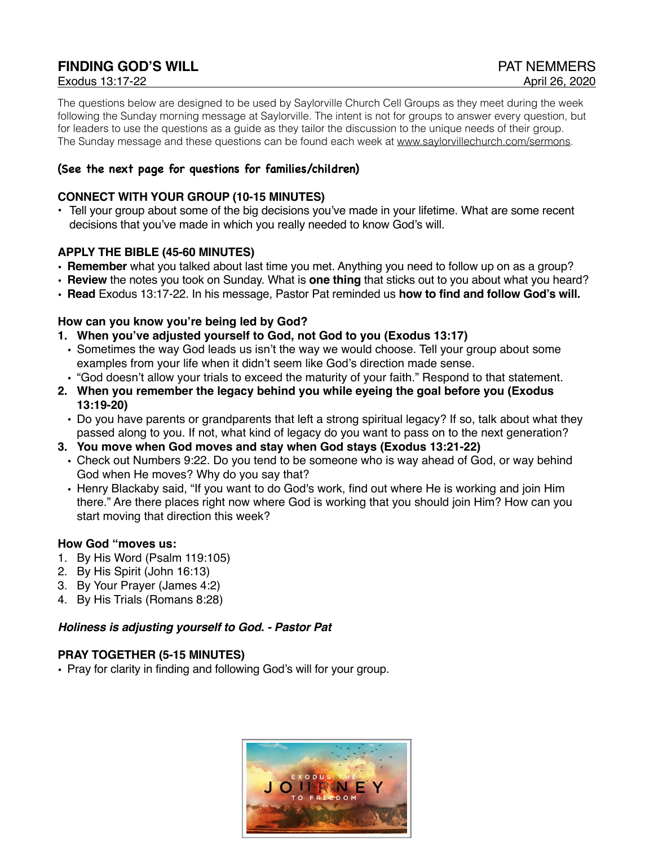# **FINDING GOD'S WILL CONTRACT CONTRACT CONTRACT OF A PAT NEMMERS**

The questions below are designed to be used by Saylorville Church Cell Groups as they meet during the week following the Sunday morning message at Saylorville. The intent is not for groups to answer every question, but for leaders to use the questions as a guide as they tailor the discussion to the unique needs of their group. The Sunday message and these questions can be found each week at [www.saylorvillechurch.com/sermons](http://www.saylorvillechurch.com/sermons).

# **(See the next page for questions for families/children)**

## **CONNECT WITH YOUR GROUP (10-15 MINUTES)**

• Tell your group about some of the big decisions you've made in your lifetime. What are some recent decisions that you've made in which you really needed to know God's will.

## **APPLY THE BIBLE (45-60 MINUTES)**

- **• Remember** what you talked about last time you met. Anything you need to follow up on as a group?
- **• Review** the notes you took on Sunday. What is **one thing** that sticks out to you about what you heard?
- **• Read** Exodus 13:17-22. In his message, Pastor Pat reminded us **how to find and follow God's will.**

#### **How can you know you're being led by God?**

- **1. When you've adjusted yourself to God, not God to you (Exodus 13:17)**
- Sometimes the way God leads us isn't the way we would choose. Tell your group about some examples from your life when it didn't seem like God's direction made sense.
- "God doesn't allow your trials to exceed the maturity of your faith." Respond to that statement.
- **2. When you remember the legacy behind you while eyeing the goal before you (Exodus 13:19-20)**
	- Do you have parents or grandparents that left a strong spiritual legacy? If so, talk about what they passed along to you. If not, what kind of legacy do you want to pass on to the next generation?
- **3. You move when God moves and stay when God stays (Exodus 13:21-22)**
	- Check out Numbers 9:22. Do you tend to be someone who is way ahead of God, or way behind God when He moves? Why do you say that?
	- Henry Blackaby said, "If you want to do God's work, find out where He is working and join Him there." Are there places right now where God is working that you should join Him? How can you start moving that direction this week?

## **How God "moves us:**

- 1. By His Word (Psalm 119:105)
- 2. By His Spirit (John 16:13)
- 3. By Your Prayer (James 4:2)
- 4. By His Trials (Romans 8:28)

#### *Holiness is adjusting yourself to God. - Pastor Pat*

## **PRAY TOGETHER (5-15 MINUTES)**

• Pray for clarity in finding and following God's will for your group.

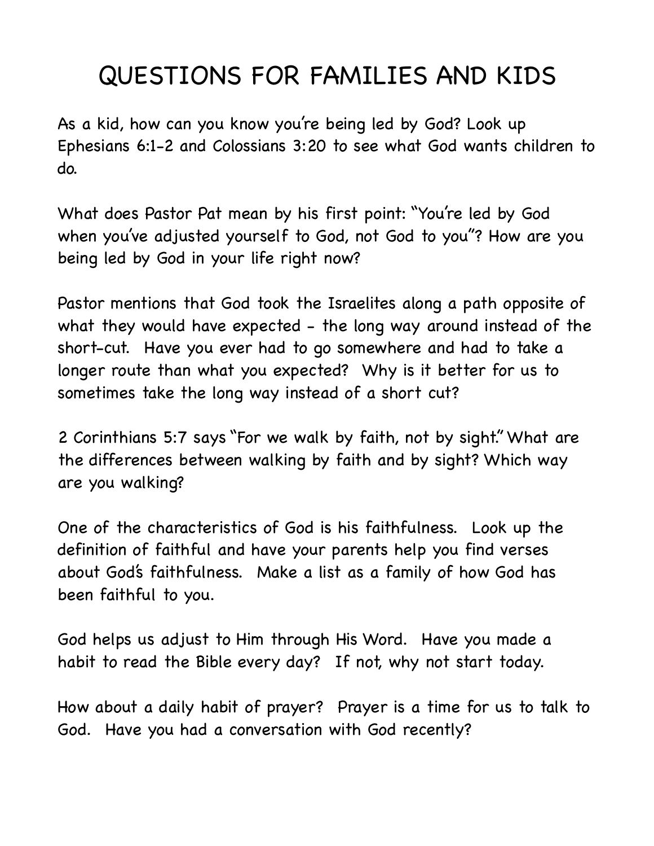# QUESTIONS FOR FAMILIES AND KIDS

As a kid, how can you know you're being led by God? Look up Ephesians 6:1-2 and Colossians 3:20 to see what God wants children to do.

What does Pastor Pat mean by his first point: "You're led by God when you've adjusted yourself to God, not God to you"? How are you being led by God in your life right now?

Pastor mentions that God took the Israelites along a path opposite of what they would have expected - the long way around instead of the short-cut. Have you ever had to go somewhere and had to take a longer route than what you expected? Why is it better for us to sometimes take the long way instead of a short cut?

2 Corinthians 5:7 says "For we walk by faith, not by sight." What are the differences between walking by faith and by sight? Which way are you walking?

One of the characteristics of God is his faithfulness. Look up the definition of faithful and have your parents help you find verses about God's faithfulness. Make a list as a family of how God has been faithful to you.

God helps us adjust to Him through His Word. Have you made a habit to read the Bible every day? If not, why not start today.

How about a daily habit of prayer? Prayer is a time for us to talk to God. Have you had a conversation with God recently?